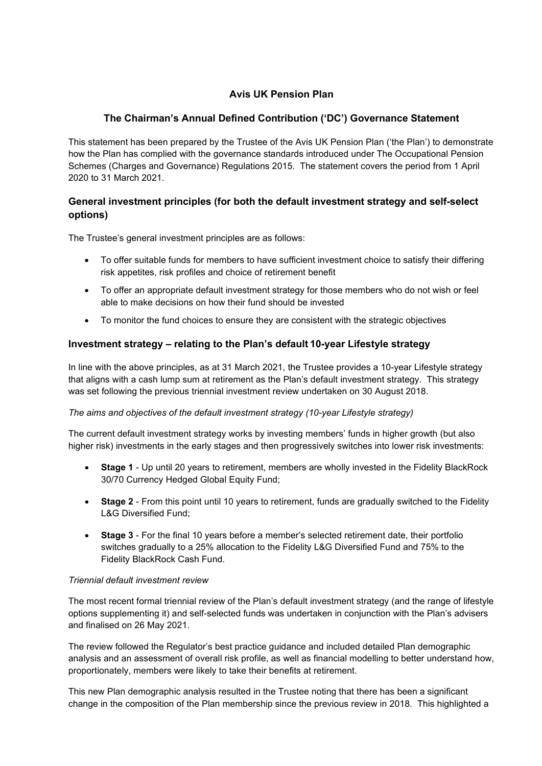# **Avis UK Pension Plan**

# **The Chairman's Annual Defined Contribution ('DC') Governance Statement**

This statement has been prepared by the Trustee of the Avis UK Pension Plan ('the Plan') to demonstrate how the Plan has complied with the governance standards introduced under The Occupational Pension Schemes (Charges and Governance) Regulations 2015. The statement covers the period from 1 April 2020 to 31 March 2021.

# **General investment principles (for both the default investment strategy and self-select options)**

The Trustee's general investment principles are as follows:

- To offer suitable funds for members to have sufficient investment choice to satisfy their differing risk appetites, risk profiles and choice of retirement benefit
- To offer an appropriate default investment strategy for those members who do not wish or feel able to make decisions on how their fund should be invested
- To monitor the fund choices to ensure they are consistent with the strategic objectives

## **Investment strategy – relating to the Plan's default 10-year Lifestyle strategy**

In line with the above principles, as at 31 March 2021, the Trustee provides a 10-year Lifestyle strategy that aligns with a cash lump sum at retirement as the Plan's default investment strategy. This strategy was set following the previous triennial investment review undertaken on 30 August 2018.

#### *The aims and objectives of the default investment strategy (10-year Lifestyle strategy)*

The current default investment strategy works by investing members' funds in higher growth (but also higher risk) investments in the early stages and then progressively switches into lower risk investments:

- **Stage 1** Up until 20 years to retirement, members are wholly invested in the Fidelity BlackRock 30/70 Currency Hedged Global Equity Fund;
- **Stage 2** From this point until 10 years to retirement, funds are gradually switched to the Fidelity L&G Diversified Fund;
- **Stage 3** For the final 10 years before a member's selected retirement date, their portfolio switches gradually to a 25% allocation to the Fidelity L&G Diversified Fund and 75% to the Fidelity BlackRock Cash Fund.

#### *Triennial default investment review*

The most recent formal triennial review of the Plan's default investment strategy (and the range of lifestyle options supplementing it) and self-selected funds was undertaken in conjunction with the Plan's advisers and finalised on 26 May 2021.

The review followed the Regulator's best practice guidance and included detailed Plan demographic analysis and an assessment of overall risk profile, as well as financial modelling to better understand how, proportionately, members were likely to take their benefits at retirement.

This new Plan demographic analysis resulted in the Trustee noting that there has been a significant change in the composition of the Plan membership since the previous review in 2018. This highlighted a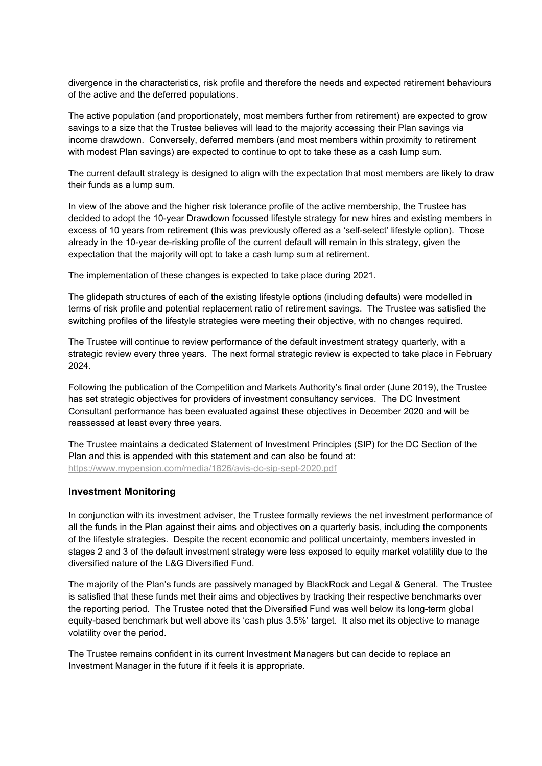divergence in the characteristics, risk profile and therefore the needs and expected retirement behaviours of the active and the deferred populations.

The active population (and proportionately, most members further from retirement) are expected to grow savings to a size that the Trustee believes will lead to the majority accessing their Plan savings via income drawdown. Conversely, deferred members (and most members within proximity to retirement with modest Plan savings) are expected to continue to opt to take these as a cash lump sum.

The current default strategy is designed to align with the expectation that most members are likely to draw their funds as a lump sum.

In view of the above and the higher risk tolerance profile of the active membership, the Trustee has decided to adopt the 10-year Drawdown focussed lifestyle strategy for new hires and existing members in excess of 10 years from retirement (this was previously offered as a 'self-select' lifestyle option). Those already in the 10-year de-risking profile of the current default will remain in this strategy, given the expectation that the majority will opt to take a cash lump sum at retirement.

The implementation of these changes is expected to take place during 2021.

The glidepath structures of each of the existing lifestyle options (including defaults) were modelled in terms of risk profile and potential replacement ratio of retirement savings. The Trustee was satisfied the switching profiles of the lifestyle strategies were meeting their objective, with no changes required.

The Trustee will continue to review performance of the default investment strategy quarterly, with a strategic review every three years. The next formal strategic review is expected to take place in February 2024.

Following the publication of the Competition and Markets Authority's final order (June 2019), the Trustee has set strategic objectives for providers of investment consultancy services. The DC Investment Consultant performance has been evaluated against these objectives in December 2020 and will be reassessed at least every three years.

The Trustee maintains a dedicated Statement of Investment Principles (SIP) for the DC Section of the Plan and this is appended with this statement and can also be found at: https://www.mypension.com/media/1826/avis-dc-sip-sept-2020.pdf

#### **Investment Monitoring**

In conjunction with its investment adviser, the Trustee formally reviews the net investment performance of all the funds in the Plan against their aims and objectives on a quarterly basis, including the components of the lifestyle strategies. Despite the recent economic and political uncertainty, members invested in stages 2 and 3 of the default investment strategy were less exposed to equity market volatility due to the diversified nature of the L&G Diversified Fund.

The majority of the Plan's funds are passively managed by BlackRock and Legal & General. The Trustee is satisfied that these funds met their aims and objectives by tracking their respective benchmarks over the reporting period. The Trustee noted that the Diversified Fund was well below its long-term global equity-based benchmark but well above its 'cash plus 3.5%' target. It also met its objective to manage volatility over the period.

The Trustee remains confident in its current Investment Managers but can decide to replace an Investment Manager in the future if it feels it is appropriate.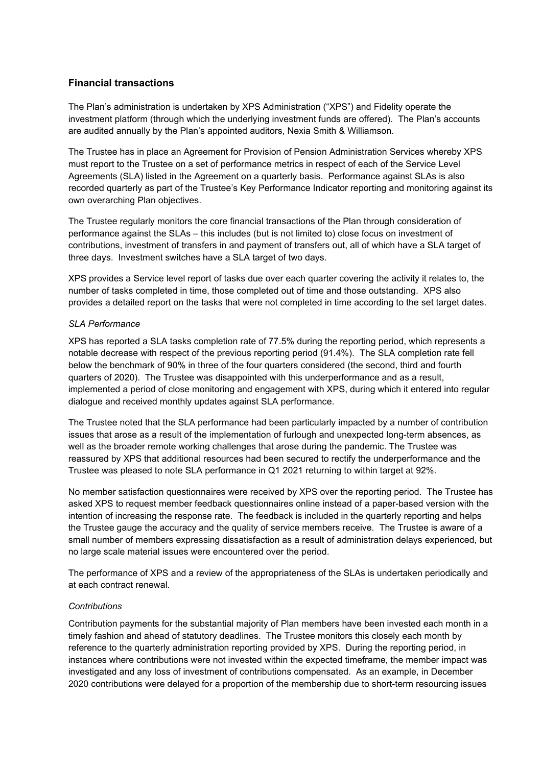## **Financial transactions**

The Plan's administration is undertaken by XPS Administration ("XPS") and Fidelity operate the investment platform (through which the underlying investment funds are offered). The Plan's accounts are audited annually by the Plan's appointed auditors, Nexia Smith & Williamson.

The Trustee has in place an Agreement for Provision of Pension Administration Services whereby XPS must report to the Trustee on a set of performance metrics in respect of each of the Service Level Agreements (SLA) listed in the Agreement on a quarterly basis. Performance against SLAs is also recorded quarterly as part of the Trustee's Key Performance Indicator reporting and monitoring against its own overarching Plan objectives.

The Trustee regularly monitors the core financial transactions of the Plan through consideration of performance against the SLAs – this includes (but is not limited to) close focus on investment of contributions, investment of transfers in and payment of transfers out, all of which have a SLA target of three days. Investment switches have a SLA target of two days.

XPS provides a Service level report of tasks due over each quarter covering the activity it relates to, the number of tasks completed in time, those completed out of time and those outstanding. XPS also provides a detailed report on the tasks that were not completed in time according to the set target dates.

### *SLA Performance*

XPS has reported a SLA tasks completion rate of 77.5% during the reporting period, which represents a notable decrease with respect of the previous reporting period (91.4%). The SLA completion rate fell below the benchmark of 90% in three of the four quarters considered (the second, third and fourth quarters of 2020). The Trustee was disappointed with this underperformance and as a result, implemented a period of close monitoring and engagement with XPS, during which it entered into regular dialogue and received monthly updates against SLA performance.

The Trustee noted that the SLA performance had been particularly impacted by a number of contribution issues that arose as a result of the implementation of furlough and unexpected long-term absences, as well as the broader remote working challenges that arose during the pandemic. The Trustee was reassured by XPS that additional resources had been secured to rectify the underperformance and the Trustee was pleased to note SLA performance in Q1 2021 returning to within target at 92%.

No member satisfaction questionnaires were received by XPS over the reporting period. The Trustee has asked XPS to request member feedback questionnaires online instead of a paper-based version with the intention of increasing the response rate. The feedback is included in the quarterly reporting and helps the Trustee gauge the accuracy and the quality of service members receive. The Trustee is aware of a small number of members expressing dissatisfaction as a result of administration delays experienced, but no large scale material issues were encountered over the period.

The performance of XPS and a review of the appropriateness of the SLAs is undertaken periodically and at each contract renewal.

#### *Contributions*

Contribution payments for the substantial majority of Plan members have been invested each month in a timely fashion and ahead of statutory deadlines. The Trustee monitors this closely each month by reference to the quarterly administration reporting provided by XPS. During the reporting period, in instances where contributions were not invested within the expected timeframe, the member impact was investigated and any loss of investment of contributions compensated. As an example, in December 2020 contributions were delayed for a proportion of the membership due to short-term resourcing issues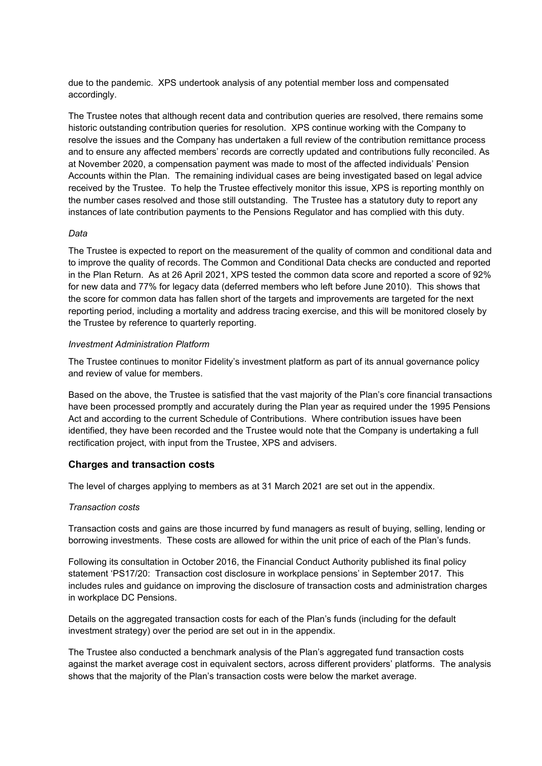due to the pandemic. XPS undertook analysis of any potential member loss and compensated accordingly.

The Trustee notes that although recent data and contribution queries are resolved, there remains some historic outstanding contribution queries for resolution. XPS continue working with the Company to resolve the issues and the Company has undertaken a full review of the contribution remittance process and to ensure any affected members' records are correctly updated and contributions fully reconciled. As at November 2020, a compensation payment was made to most of the affected individuals' Pension Accounts within the Plan. The remaining individual cases are being investigated based on legal advice received by the Trustee. To help the Trustee effectively monitor this issue, XPS is reporting monthly on the number cases resolved and those still outstanding. The Trustee has a statutory duty to report any instances of late contribution payments to the Pensions Regulator and has complied with this duty.

#### *Data*

The Trustee is expected to report on the measurement of the quality of common and conditional data and to improve the quality of records. The Common and Conditional Data checks are conducted and reported in the Plan Return. As at 26 April 2021, XPS tested the common data score and reported a score of 92% for new data and 77% for legacy data (deferred members who left before June 2010). This shows that the score for common data has fallen short of the targets and improvements are targeted for the next reporting period, including a mortality and address tracing exercise, and this will be monitored closely by the Trustee by reference to quarterly reporting.

#### *Investment Administration Platform*

The Trustee continues to monitor Fidelity's investment platform as part of its annual governance policy and review of value for members.

Based on the above, the Trustee is satisfied that the vast majority of the Plan's core financial transactions have been processed promptly and accurately during the Plan year as required under the 1995 Pensions Act and according to the current Schedule of Contributions. Where contribution issues have been identified, they have been recorded and the Trustee would note that the Company is undertaking a full rectification project, with input from the Trustee, XPS and advisers.

### **Charges and transaction costs**

The level of charges applying to members as at 31 March 2021 are set out in the appendix.

#### *Transaction costs*

Transaction costs and gains are those incurred by fund managers as result of buying, selling, lending or borrowing investments. These costs are allowed for within the unit price of each of the Plan's funds.

Following its consultation in October 2016, the Financial Conduct Authority published its final policy statement 'PS17/20: Transaction cost disclosure in workplace pensions' in September 2017. This includes rules and guidance on improving the disclosure of transaction costs and administration charges in workplace DC Pensions.

Details on the aggregated transaction costs for each of the Plan's funds (including for the default investment strategy) over the period are set out in in the appendix.

The Trustee also conducted a benchmark analysis of the Plan's aggregated fund transaction costs against the market average cost in equivalent sectors, across different providers' platforms. The analysis shows that the majority of the Plan's transaction costs were below the market average.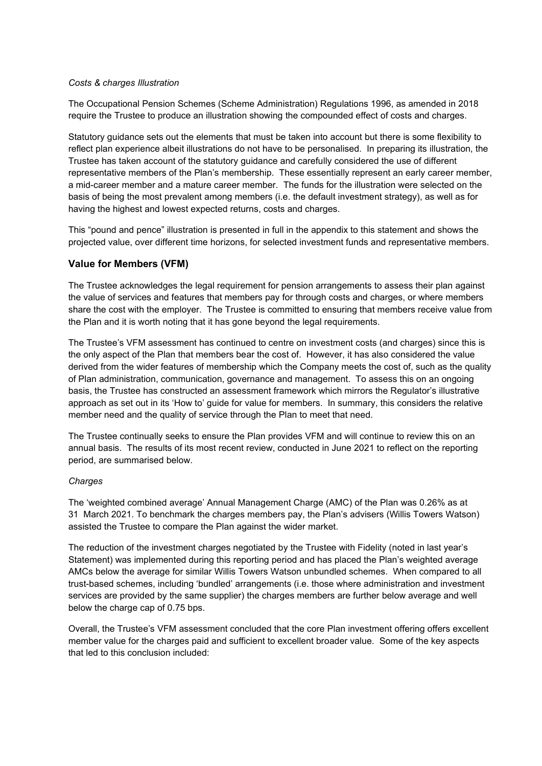#### *Costs & charges Illustration*

The Occupational Pension Schemes (Scheme Administration) Regulations 1996, as amended in 2018 require the Trustee to produce an illustration showing the compounded effect of costs and charges.

Statutory guidance sets out the elements that must be taken into account but there is some flexibility to reflect plan experience albeit illustrations do not have to be personalised. In preparing its illustration, the Trustee has taken account of the statutory guidance and carefully considered the use of different representative members of the Plan's membership. These essentially represent an early career member, a mid-career member and a mature career member. The funds for the illustration were selected on the basis of being the most prevalent among members (i.e. the default investment strategy), as well as for having the highest and lowest expected returns, costs and charges.

This "pound and pence" illustration is presented in full in the appendix to this statement and shows the projected value, over different time horizons, for selected investment funds and representative members.

### **Value for Members (VFM)**

The Trustee acknowledges the legal requirement for pension arrangements to assess their plan against the value of services and features that members pay for through costs and charges, or where members share the cost with the employer. The Trustee is committed to ensuring that members receive value from the Plan and it is worth noting that it has gone beyond the legal requirements.

The Trustee's VFM assessment has continued to centre on investment costs (and charges) since this is the only aspect of the Plan that members bear the cost of. However, it has also considered the value derived from the wider features of membership which the Company meets the cost of, such as the quality of Plan administration, communication, governance and management. To assess this on an ongoing basis, the Trustee has constructed an assessment framework which mirrors the Regulator's illustrative approach as set out in its 'How to' guide for value for members. In summary, this considers the relative member need and the quality of service through the Plan to meet that need.

The Trustee continually seeks to ensure the Plan provides VFM and will continue to review this on an annual basis. The results of its most recent review, conducted in June 2021 to reflect on the reporting period, are summarised below.

#### *Charges*

The 'weighted combined average' Annual Management Charge (AMC) of the Plan was 0.26% as at 31 March 2021. To benchmark the charges members pay, the Plan's advisers (Willis Towers Watson) assisted the Trustee to compare the Plan against the wider market.

The reduction of the investment charges negotiated by the Trustee with Fidelity (noted in last year's Statement) was implemented during this reporting period and has placed the Plan's weighted average AMCs below the average for similar Willis Towers Watson unbundled schemes. When compared to all trust-based schemes, including 'bundled' arrangements (i.e. those where administration and investment services are provided by the same supplier) the charges members are further below average and well below the charge cap of 0.75 bps.

Overall, the Trustee's VFM assessment concluded that the core Plan investment offering offers excellent member value for the charges paid and sufficient to excellent broader value. Some of the key aspects that led to this conclusion included: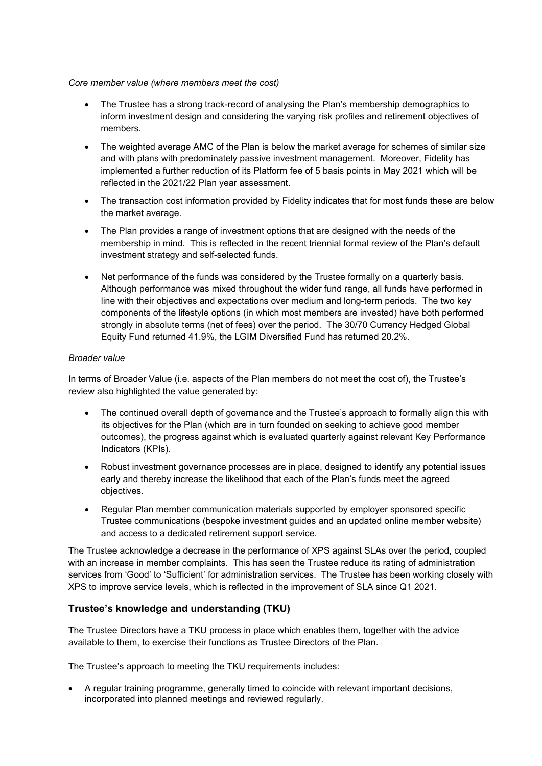### *Core member value (where members meet the cost)*

- The Trustee has a strong track-record of analysing the Plan's membership demographics to inform investment design and considering the varying risk profiles and retirement objectives of members.
- The weighted average AMC of the Plan is below the market average for schemes of similar size and with plans with predominately passive investment management. Moreover, Fidelity has implemented a further reduction of its Platform fee of 5 basis points in May 2021 which will be reflected in the 2021/22 Plan year assessment.
- The transaction cost information provided by Fidelity indicates that for most funds these are below the market average.
- The Plan provides a range of investment options that are designed with the needs of the membership in mind. This is reflected in the recent triennial formal review of the Plan's default investment strategy and self-selected funds.
- Net performance of the funds was considered by the Trustee formally on a quarterly basis. Although performance was mixed throughout the wider fund range, all funds have performed in line with their objectives and expectations over medium and long-term periods. The two key components of the lifestyle options (in which most members are invested) have both performed strongly in absolute terms (net of fees) over the period. The 30/70 Currency Hedged Global Equity Fund returned 41.9%, the LGIM Diversified Fund has returned 20.2%.

### *Broader value*

In terms of Broader Value (i.e. aspects of the Plan members do not meet the cost of), the Trustee's review also highlighted the value generated by:

- The continued overall depth of governance and the Trustee's approach to formally align this with its objectives for the Plan (which are in turn founded on seeking to achieve good member outcomes), the progress against which is evaluated quarterly against relevant Key Performance Indicators (KPIs).
- Robust investment governance processes are in place, designed to identify any potential issues early and thereby increase the likelihood that each of the Plan's funds meet the agreed objectives.
- Regular Plan member communication materials supported by employer sponsored specific Trustee communications (bespoke investment guides and an updated online member website) and access to a dedicated retirement support service.

The Trustee acknowledge a decrease in the performance of XPS against SLAs over the period, coupled with an increase in member complaints. This has seen the Trustee reduce its rating of administration services from 'Good' to 'Sufficient' for administration services. The Trustee has been working closely with XPS to improve service levels, which is reflected in the improvement of SLA since Q1 2021.

## **Trustee's knowledge and understanding (TKU)**

The Trustee Directors have a TKU process in place which enables them, together with the advice available to them, to exercise their functions as Trustee Directors of the Plan.

The Trustee's approach to meeting the TKU requirements includes:

 A regular training programme, generally timed to coincide with relevant important decisions, incorporated into planned meetings and reviewed regularly.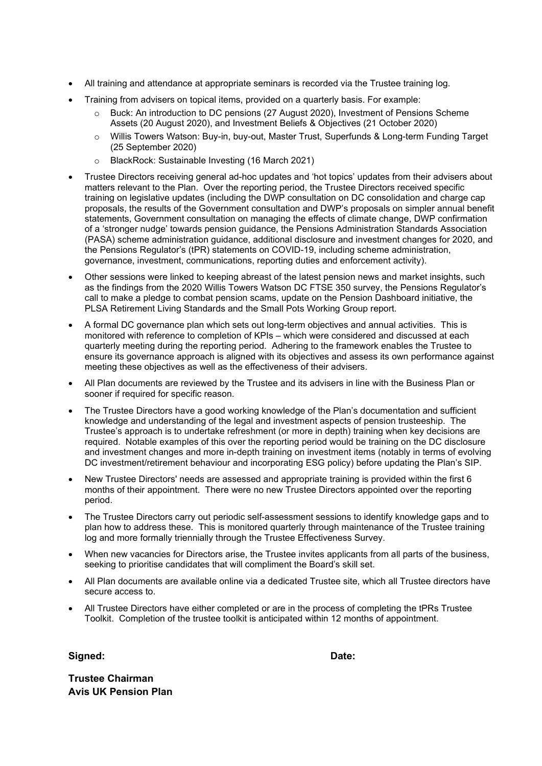- All training and attendance at appropriate seminars is recorded via the Trustee training log.
- Training from advisers on topical items, provided on a quarterly basis. For example:
	- o Buck: An introduction to DC pensions (27 August 2020), Investment of Pensions Scheme Assets (20 August 2020), and Investment Beliefs & Objectives (21 October 2020)
	- o Willis Towers Watson: Buy-in, buy-out, Master Trust, Superfunds & Long-term Funding Target (25 September 2020)
	- o BlackRock: Sustainable Investing (16 March 2021)
- Trustee Directors receiving general ad-hoc updates and 'hot topics' updates from their advisers about matters relevant to the Plan. Over the reporting period, the Trustee Directors received specific training on legislative updates (including the DWP consultation on DC consolidation and charge cap proposals, the results of the Government consultation and DWP's proposals on simpler annual benefit statements, Government consultation on managing the effects of climate change, DWP confirmation of a 'stronger nudge' towards pension guidance, the Pensions Administration Standards Association (PASA) scheme administration guidance, additional disclosure and investment changes for 2020, and the Pensions Regulator's (tPR) statements on COVID-19, including scheme administration, governance, investment, communications, reporting duties and enforcement activity).
- Other sessions were linked to keeping abreast of the latest pension news and market insights, such as the findings from the 2020 Willis Towers Watson DC FTSE 350 survey, the Pensions Regulator's call to make a pledge to combat pension scams, update on the Pension Dashboard initiative, the PLSA Retirement Living Standards and the Small Pots Working Group report.
- A formal DC governance plan which sets out long-term objectives and annual activities. This is monitored with reference to completion of KPIs – which were considered and discussed at each quarterly meeting during the reporting period. Adhering to the framework enables the Trustee to ensure its governance approach is aligned with its objectives and assess its own performance against meeting these objectives as well as the effectiveness of their advisers.
- All Plan documents are reviewed by the Trustee and its advisers in line with the Business Plan or sooner if required for specific reason.
- The Trustee Directors have a good working knowledge of the Plan's documentation and sufficient knowledge and understanding of the legal and investment aspects of pension trusteeship. The Trustee's approach is to undertake refreshment (or more in depth) training when key decisions are required. Notable examples of this over the reporting period would be training on the DC disclosure and investment changes and more in-depth training on investment items (notably in terms of evolving DC investment/retirement behaviour and incorporating ESG policy) before updating the Plan's SIP.
- New Trustee Directors' needs are assessed and appropriate training is provided within the first 6 months of their appointment. There were no new Trustee Directors appointed over the reporting period.
- The Trustee Directors carry out periodic self-assessment sessions to identify knowledge gaps and to plan how to address these. This is monitored quarterly through maintenance of the Trustee training log and more formally triennially through the Trustee Effectiveness Survey.
- When new vacancies for Directors arise, the Trustee invites applicants from all parts of the business, seeking to prioritise candidates that will compliment the Board's skill set.
- All Plan documents are available online via a dedicated Trustee site, which all Trustee directors have secure access to.
- All Trustee Directors have either completed or are in the process of completing the tPRs Trustee Toolkit. Completion of the trustee toolkit is anticipated within 12 months of appointment.

Signed: **Date: Date: Date: Date: Date: Date: Date: Date: Date: Date: Date: Date: Date: Date: Date: Date: Date: Date: Date: Date: Date: Date: Date: Date: Date: Date: Date:** 

**Trustee Chairman Avis UK Pension Plan**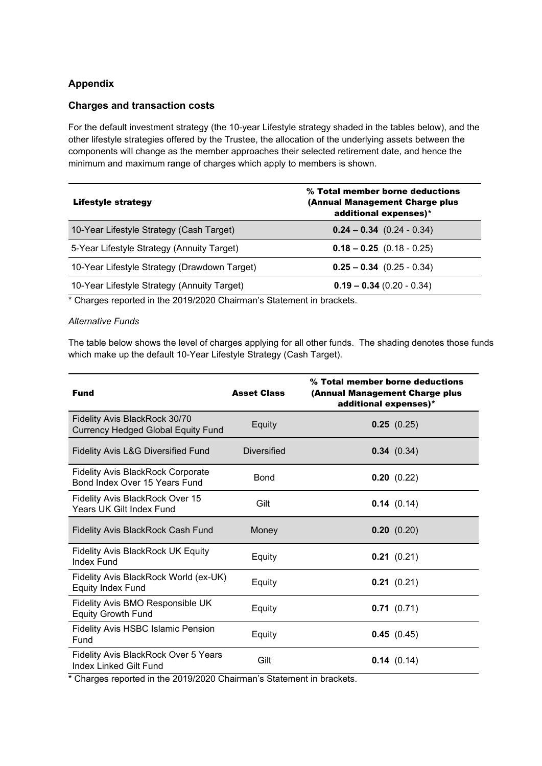# **Appendix**

### **Charges and transaction costs**

For the default investment strategy (the 10-year Lifestyle strategy shaded in the tables below), and the other lifestyle strategies offered by the Trustee, the allocation of the underlying assets between the components will change as the member approaches their selected retirement date, and hence the minimum and maximum range of charges which apply to members is shown.

| Lifestyle strategy                           | % Total member borne deductions<br>(Annual Management Charge plus<br>additional expenses)* |
|----------------------------------------------|--------------------------------------------------------------------------------------------|
| 10-Year Lifestyle Strategy (Cash Target)     | $0.24 - 0.34$ (0.24 - 0.34)                                                                |
| 5-Year Lifestyle Strategy (Annuity Target)   | $0.18 - 0.25$ (0.18 - 0.25)                                                                |
| 10-Year Lifestyle Strategy (Drawdown Target) | $0.25 - 0.34$ (0.25 - 0.34)                                                                |
| 10-Year Lifestyle Strategy (Annuity Target)  | $0.19 - 0.34$ (0.20 - 0.34)                                                                |

\* Charges reported in the 2019/2020 Chairman's Statement in brackets.

#### *Alternative Funds*

The table below shows the level of charges applying for all other funds. The shading denotes those funds which make up the default 10-Year Lifestyle Strategy (Cash Target).

| <b>Fund</b>                                                                       | <b>Asset Class</b> | % Total member borne deductions<br>(Annual Management Charge plus<br>additional expenses)* |
|-----------------------------------------------------------------------------------|--------------------|--------------------------------------------------------------------------------------------|
| <b>Fidelity Avis BlackRock 30/70</b><br><b>Currency Hedged Global Equity Fund</b> | Equity             | 0.25(0.25)                                                                                 |
| Fidelity Avis L&G Diversified Fund                                                | <b>Diversified</b> | 0.34(0.34)                                                                                 |
| <b>Fidelity Avis BlackRock Corporate</b><br>Bond Index Over 15 Years Fund         | Bond               | 0.20(0.22)                                                                                 |
| Fidelity Avis BlackRock Over 15<br>Years UK Gilt Index Fund                       | Gilt               | 0.14(0.14)                                                                                 |
| <b>Fidelity Avis BlackRock Cash Fund</b>                                          | Money              | 0.20(0.20)                                                                                 |
| <b>Fidelity Avis BlackRock UK Equity</b><br><b>Index Fund</b>                     | Equity             | 0.21(0.21)                                                                                 |
| Fidelity Avis BlackRock World (ex-UK)<br><b>Equity Index Fund</b>                 | Equity             | 0.21(0.21)                                                                                 |
| Fidelity Avis BMO Responsible UK<br><b>Equity Growth Fund</b>                     | Equity             | 0.71(0.71)                                                                                 |
| <b>Fidelity Avis HSBC Islamic Pension</b><br>Fund                                 | Equity             | 0.45(0.45)                                                                                 |
| Fidelity Avis BlackRock Over 5 Years<br>Index Linked Gilt Fund                    | Gilt               | 0.14(0.14)                                                                                 |

\* Charges reported in the 2019/2020 Chairman's Statement in brackets.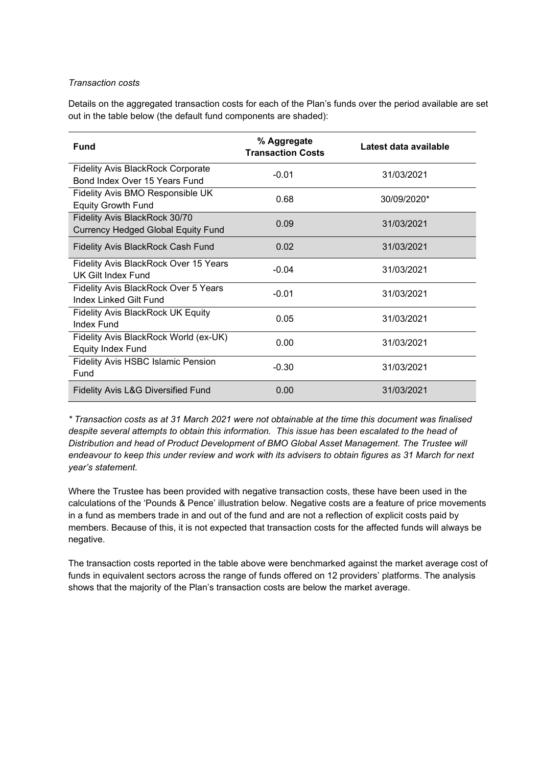#### *Transaction costs*

Details on the aggregated transaction costs for each of the Plan's funds over the period available are set out in the table below (the default fund components are shaded):

| Fund                                      | % Aggregate<br><b>Transaction Costs</b> | Latest data available |
|-------------------------------------------|-----------------------------------------|-----------------------|
| <b>Fidelity Avis BlackRock Corporate</b>  | $-0.01$                                 | 31/03/2021            |
| Bond Index Over 15 Years Fund             |                                         |                       |
| Fidelity Avis BMO Responsible UK          | 0.68                                    | 30/09/2020*           |
| <b>Equity Growth Fund</b>                 |                                         |                       |
| Fidelity Avis BlackRock 30/70             | 0.09                                    | 31/03/2021            |
| <b>Currency Hedged Global Equity Fund</b> |                                         |                       |
| <b>Fidelity Avis BlackRock Cash Fund</b>  | 0.02                                    | 31/03/2021            |
| Fidelity Avis BlackRock Over 15 Years     | $-0.04$                                 | 31/03/2021            |
| UK Gilt Index Fund                        |                                         |                       |
| Fidelity Avis BlackRock Over 5 Years      | $-0.01$                                 | 31/03/2021            |
| <b>Index Linked Gilt Fund</b>             |                                         |                       |
| <b>Fidelity Avis BlackRock UK Equity</b>  | 0.05                                    | 31/03/2021            |
| Index Fund                                |                                         |                       |
| Fidelity Avis BlackRock World (ex-UK)     | 0.00                                    | 31/03/2021            |
| <b>Equity Index Fund</b>                  |                                         |                       |
| <b>Fidelity Avis HSBC Islamic Pension</b> | $-0.30$                                 | 31/03/2021            |
| Fund                                      |                                         |                       |
| Fidelity Avis L&G Diversified Fund        | 0.00                                    | 31/03/2021            |

*\* Transaction costs as at 31 March 2021 were not obtainable at the time this document was finalised despite several attempts to obtain this information. This issue has been escalated to the head of Distribution and head of Product Development of BMO Global Asset Management. The Trustee will endeavour to keep this under review and work with its advisers to obtain figures as 31 March for next year's statement.* 

Where the Trustee has been provided with negative transaction costs, these have been used in the calculations of the 'Pounds & Pence' illustration below. Negative costs are a feature of price movements in a fund as members trade in and out of the fund and are not a reflection of explicit costs paid by members. Because of this, it is not expected that transaction costs for the affected funds will always be negative.

The transaction costs reported in the table above were benchmarked against the market average cost of funds in equivalent sectors across the range of funds offered on 12 providers' platforms. The analysis shows that the majority of the Plan's transaction costs are below the market average.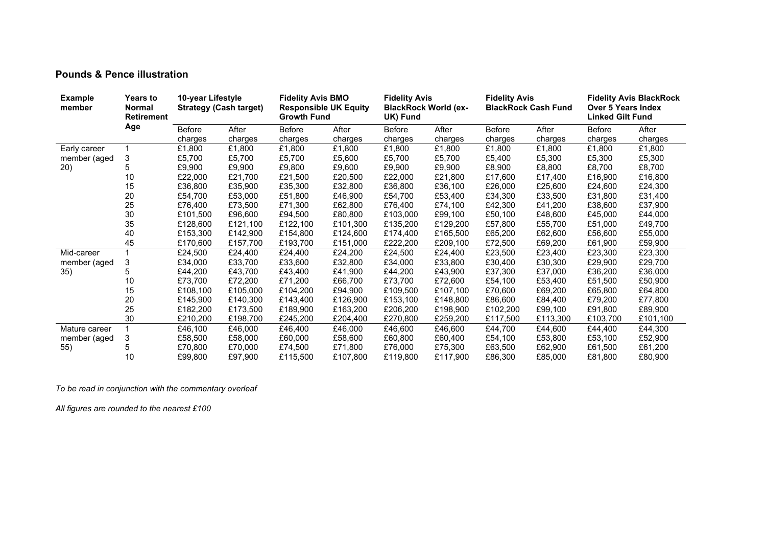## **Pounds & Pence illustration**

| <b>Example</b><br>member | <b>Years to</b><br>Normal<br><b>Retirement</b> | 10-year Lifestyle<br><b>Strategy (Cash target)</b> |          | <b>Fidelity Avis BMO</b><br><b>Responsible UK Equity</b><br><b>Growth Fund</b> |          | <b>Fidelity Avis</b><br><b>BlackRock World (ex-</b><br>UK) Fund |          | <b>Fidelity Avis</b><br><b>BlackRock Cash Fund</b> |          | <b>Fidelity Avis BlackRock</b><br><b>Over 5 Years Index</b><br><b>Linked Gilt Fund</b> |          |
|--------------------------|------------------------------------------------|----------------------------------------------------|----------|--------------------------------------------------------------------------------|----------|-----------------------------------------------------------------|----------|----------------------------------------------------|----------|----------------------------------------------------------------------------------------|----------|
|                          | Age                                            | Before                                             | After    | Before                                                                         | After    | Before                                                          | After    | <b>Before</b>                                      | After    | <b>Before</b>                                                                          | After    |
|                          |                                                | charges                                            | charges  | charges                                                                        | charges  | charges                                                         | charges  | charges                                            | charges  | charges                                                                                | charges  |
| Early career             |                                                | £1,800                                             | £1,800   | £1,800                                                                         | £1,800   | £1,800                                                          | £1,800   | £1,800                                             | £1,800   | £1,800                                                                                 | £1,800   |
| member (aged             | 3                                              | £5,700                                             | £5,700   | £5,700                                                                         | £5,600   | £5,700                                                          | £5,700   | £5,400                                             | £5,300   | £5,300                                                                                 | £5,300   |
| (20)                     | 5                                              | £9,900                                             | £9,900   | £9,800                                                                         | £9,600   | £9,900                                                          | £9,900   | £8,900                                             | £8,800   | £8,700                                                                                 | £8,700   |
|                          | 10                                             | £22,000                                            | £21,700  | £21,500                                                                        | £20,500  | £22,000                                                         | £21,800  | £17,600                                            | £17,400  | £16,900                                                                                | £16,800  |
|                          | 15                                             | £36,800                                            | £35,900  | £35,300                                                                        | £32,800  | £36,800                                                         | £36,100  | £26,000                                            | £25,600  | £24,600                                                                                | £24,300  |
|                          | 20                                             | £54,700                                            | £53,000  | £51,800                                                                        | £46,900  | £54,700                                                         | £53,400  | £34,300                                            | £33,500  | £31,800                                                                                | £31,400  |
|                          | 25                                             | £76.400                                            | £73,500  | £71,300                                                                        | £62,800  | £76,400                                                         | £74,100  | £42,300                                            | £41,200  | £38,600                                                                                | £37,900  |
|                          | 30                                             | £101,500                                           | £96,600  | £94,500                                                                        | £80,800  | £103,000                                                        | £99,100  | £50,100                                            | £48,600  | £45,000                                                                                | £44,000  |
|                          | 35                                             | £128,600                                           | £121,100 | £122,100                                                                       | £101,300 | £135,200                                                        | £129,200 | £57,800                                            | £55,700  | £51,000                                                                                | £49,700  |
|                          | 40                                             | £153,300                                           | £142,900 | £154,800                                                                       | £124,600 | £174,400                                                        | £165,500 | £65,200                                            | £62,600  | £56,600                                                                                | £55,000  |
|                          | 45                                             | £170,600                                           | £157,700 | £193,700                                                                       | £151,000 | £222,200                                                        | £209,100 | £72,500                                            | £69,200  | £61,900                                                                                | £59,900  |
| Mid-career               |                                                | £24,500                                            | £24,400  | £24,400                                                                        | £24,200  | £24,500                                                         | £24,400  | £23,500                                            | £23,400  | £23,300                                                                                | £23,300  |
| member (aged             | 3                                              | £34,000                                            | £33,700  | £33,600                                                                        | £32,800  | £34,000                                                         | £33,800  | £30,400                                            | £30,300  | £29,900                                                                                | £29,700  |
| 35)                      | 5                                              | £44,200                                            | £43,700  | £43,400                                                                        | £41,900  | £44,200                                                         | £43,900  | £37,300                                            | £37,000  | £36,200                                                                                | £36,000  |
|                          | 10                                             | £73,700                                            | £72,200  | £71,200                                                                        | £66,700  | £73,700                                                         | £72,600  | £54,100                                            | £53,400  | £51,500                                                                                | £50,900  |
|                          | 15                                             | £108,100                                           | £105,000 | £104,200                                                                       | £94,900  | £109,500                                                        | £107.100 | £70,600                                            | £69,200  | £65,800                                                                                | £64,800  |
|                          | 20                                             | £145,900                                           | £140,300 | £143,400                                                                       | £126,900 | £153,100                                                        | £148,800 | £86,600                                            | £84,400  | £79,200                                                                                | £77,800  |
|                          | 25                                             | £182,200                                           | £173,500 | £189,900                                                                       | £163,200 | £206,200                                                        | £198,900 | £102,200                                           | £99,100  | £91,800                                                                                | £89,900  |
|                          | 30                                             | £210,200                                           | £198,700 | £245,200                                                                       | £204,400 | £270,800                                                        | £259,200 | £117,500                                           | £113,300 | £103,700                                                                               | £101,100 |
| Mature career            |                                                | £46,100                                            | £46,000  | £46,400                                                                        | £46,000  | £46,600                                                         | £46,600  | £44,700                                            | £44,600  | £44,400                                                                                | £44,300  |
| member (aged             | 3                                              | £58,500                                            | £58,000  | £60,000                                                                        | £58,600  | £60,800                                                         | £60,400  | £54,100                                            | £53,800  | £53,100                                                                                | £52,900  |
| 55)                      | 5                                              | £70.800                                            | £70,000  | £74,500                                                                        | £71,800  | £76,000                                                         | £75,300  | £63,500                                            | £62,900  | £61,500                                                                                | £61,200  |
|                          | 10                                             | £99.800                                            | £97,900  | £115,500                                                                       | £107,800 | £119,800                                                        | £117.900 | £86,300                                            | £85,000  | £81.800                                                                                | £80,900  |

*To be read in conjunction with the commentary overleaf* 

*All figures are rounded to the nearest £100*